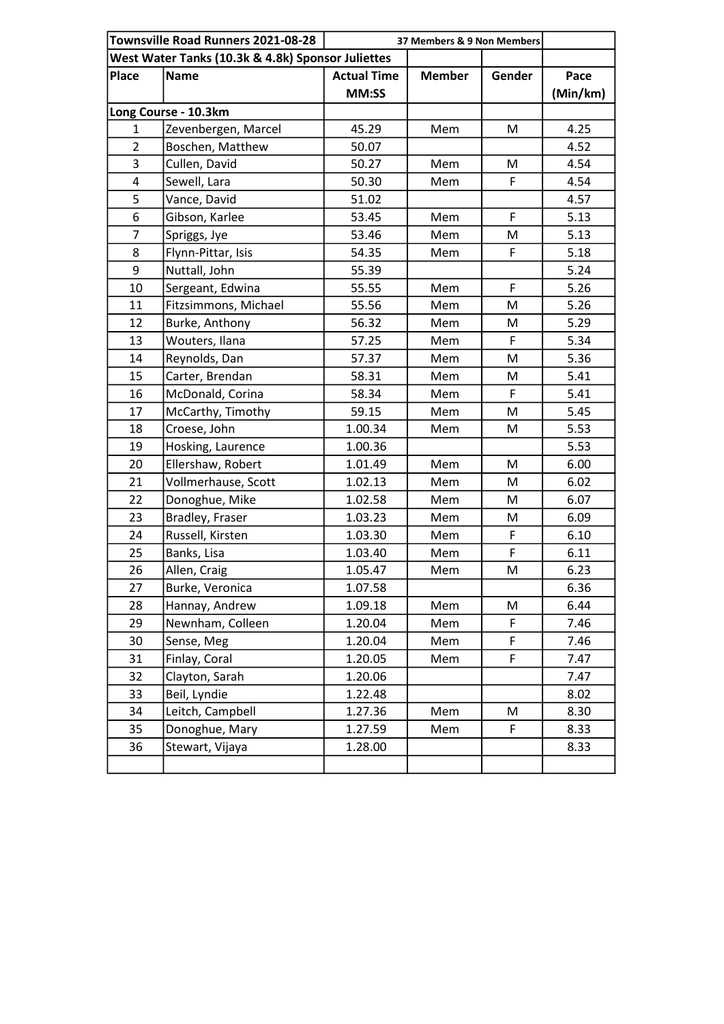|                                                   | Townsville Road Runners 2021-08-28 |                    | 37 Members & 9 Non Members |        |          |  |  |  |
|---------------------------------------------------|------------------------------------|--------------------|----------------------------|--------|----------|--|--|--|
| West Water Tanks (10.3k & 4.8k) Sponsor Juliettes |                                    |                    |                            |        |          |  |  |  |
| <b>Place</b>                                      | <b>Name</b>                        | <b>Actual Time</b> | <b>Member</b>              | Gender | Pace     |  |  |  |
|                                                   |                                    | MM:SS              |                            |        | (Min/km) |  |  |  |
|                                                   | Long Course - 10.3km               |                    |                            |        |          |  |  |  |
| 1                                                 | Zevenbergen, Marcel                | 45.29              | Mem                        | M      | 4.25     |  |  |  |
| $\overline{2}$                                    | Boschen, Matthew                   | 50.07              |                            |        | 4.52     |  |  |  |
| 3                                                 | Cullen, David                      | 50.27              | Mem                        | M      | 4.54     |  |  |  |
| 4                                                 | Sewell, Lara                       | 50.30              | Mem                        | F      | 4.54     |  |  |  |
| 5                                                 | Vance, David                       | 51.02              |                            |        | 4.57     |  |  |  |
| 6                                                 | Gibson, Karlee                     | 53.45              | Mem                        | F      | 5.13     |  |  |  |
| $\overline{7}$                                    | Spriggs, Jye                       | 53.46              | Mem                        | M      | 5.13     |  |  |  |
| 8                                                 | Flynn-Pittar, Isis                 | 54.35              | Mem                        | F      | 5.18     |  |  |  |
| 9                                                 | Nuttall, John                      | 55.39              |                            |        | 5.24     |  |  |  |
| 10                                                | Sergeant, Edwina                   | 55.55              | Mem                        | F      | 5.26     |  |  |  |
| 11                                                | Fitzsimmons, Michael               | 55.56              | Mem                        | M      | 5.26     |  |  |  |
| 12                                                | Burke, Anthony                     | 56.32              | Mem                        | M      | 5.29     |  |  |  |
| 13                                                | Wouters, Ilana                     | 57.25              | Mem                        | F      | 5.34     |  |  |  |
| 14                                                | Reynolds, Dan                      | 57.37              | Mem                        | M      | 5.36     |  |  |  |
| 15                                                | Carter, Brendan                    | 58.31              | Mem                        | M      | 5.41     |  |  |  |
| 16                                                | McDonald, Corina                   | 58.34              | Mem                        | F      | 5.41     |  |  |  |
| 17                                                | McCarthy, Timothy                  | 59.15              | Mem                        | M      | 5.45     |  |  |  |
| 18                                                | Croese, John                       | 1.00.34            | Mem                        | M      | 5.53     |  |  |  |
| 19                                                | Hosking, Laurence                  | 1.00.36            |                            |        | 5.53     |  |  |  |
| 20                                                | Ellershaw, Robert                  | 1.01.49            | Mem                        | M      | 6.00     |  |  |  |
| 21                                                | Vollmerhause, Scott                | 1.02.13            | Mem                        | M      | 6.02     |  |  |  |
| 22                                                | Donoghue, Mike                     | 1.02.58            | Mem                        | M      | 6.07     |  |  |  |
| 23                                                | Bradley, Fraser                    | 1.03.23            | Mem                        | M      | 6.09     |  |  |  |
| 24                                                | Russell, Kirsten                   | 1.03.30            | Mem                        | F      | 6.10     |  |  |  |
| 25                                                | Banks, Lisa                        | 1.03.40            | Mem                        | F      | 6.11     |  |  |  |
| 26                                                | Allen, Craig                       | 1.05.47            | Mem                        | M      | 6.23     |  |  |  |
| 27                                                | Burke, Veronica                    | 1.07.58            |                            |        | 6.36     |  |  |  |
| 28                                                | Hannay, Andrew                     | 1.09.18            | Mem                        | M      | 6.44     |  |  |  |
| 29                                                | Newnham, Colleen                   | 1.20.04            | Mem                        | F      | 7.46     |  |  |  |
| 30                                                | Sense, Meg                         | 1.20.04            | Mem                        | F      | 7.46     |  |  |  |
| 31                                                | Finlay, Coral                      | 1.20.05            | Mem                        | F      | 7.47     |  |  |  |
| 32                                                | Clayton, Sarah                     | 1.20.06            |                            |        | 7.47     |  |  |  |
| 33                                                | Beil, Lyndie                       | 1.22.48            |                            |        | 8.02     |  |  |  |
| 34                                                | Leitch, Campbell                   | 1.27.36            | Mem                        | M      | 8.30     |  |  |  |
| 35                                                | Donoghue, Mary                     | 1.27.59            | Mem                        | F      | 8.33     |  |  |  |
| 36                                                | Stewart, Vijaya                    | 1.28.00            |                            |        | 8.33     |  |  |  |
|                                                   |                                    |                    |                            |        |          |  |  |  |